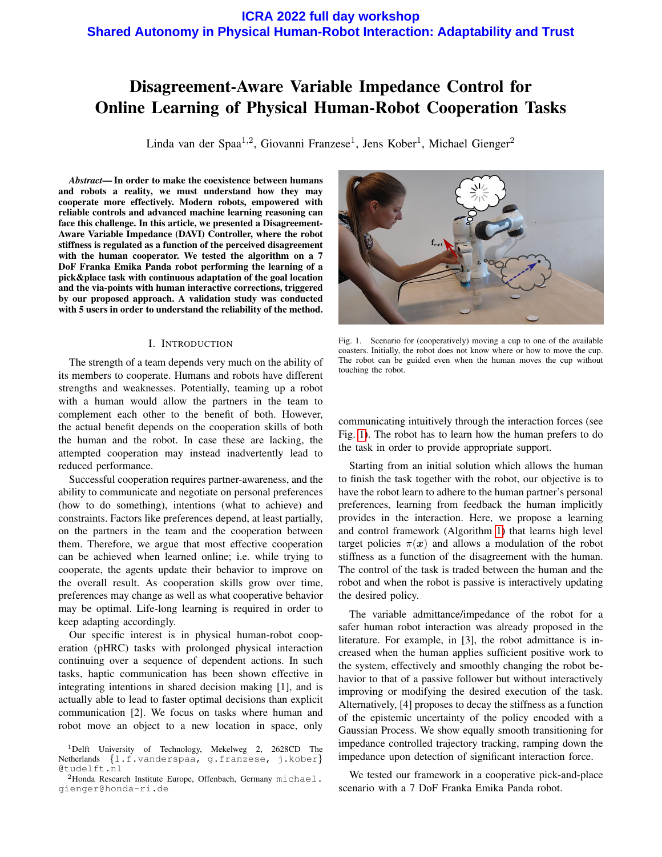# **ICRA 2022 full day workshop Shared Autonomy in Physical Human-Robot Interaction: Adaptability and Trust**

# Disagreement-Aware Variable Impedance Control for Online Learning of Physical Human-Robot Cooperation Tasks

Linda van der Spaa<sup>1,2</sup>, Giovanni Franzese<sup>1</sup>, Jens Kober<sup>1</sup>, Michael Gienger<sup>2</sup>

*Abstract*— In order to make the coexistence between humans and robots a reality, we must understand how they may cooperate more effectively. Modern robots, empowered with reliable controls and advanced machine learning reasoning can face this challenge. In this article, we presented a Disagreement-Aware Variable Impedance (DAVI) Controller, where the robot stiffness is regulated as a function of the perceived disagreement with the human cooperator. We tested the algorithm on a 7 DoF Franka Emika Panda robot performing the learning of a pick&place task with continuous adaptation of the goal location and the via-points with human interactive corrections, triggered by our proposed approach. A validation study was conducted with 5 users in order to understand the reliability of the method.

# I. INTRODUCTION

The strength of a team depends very much on the ability of its members to cooperate. Humans and robots have different strengths and weaknesses. Potentially, teaming up a robot with a human would allow the partners in the team to complement each other to the benefit of both. However, the actual benefit depends on the cooperation skills of both the human and the robot. In case these are lacking, the attempted cooperation may instead inadvertently lead to reduced performance.

Successful cooperation requires partner-awareness, and the ability to communicate and negotiate on personal preferences (how to do something), intentions (what to achieve) and constraints. Factors like preferences depend, at least partially, on the partners in the team and the cooperation between them. Therefore, we argue that most effective cooperation can be achieved when learned online; i.e. while trying to cooperate, the agents update their behavior to improve on the overall result. As cooperation skills grow over time, preferences may change as well as what cooperative behavior may be optimal. Life-long learning is required in order to keep adapting accordingly.

Our specific interest is in physical human-robot cooperation (pHRC) tasks with prolonged physical interaction continuing over a sequence of dependent actions. In such tasks, haptic communication has been shown effective in integrating intentions in shared decision making [1], and is actually able to lead to faster optimal decisions than explicit communication [2]. We focus on tasks where human and robot move an object to a new location in space, only



Fig. 1. Scenario for (cooperatively) moving a cup to one of the available coasters. Initially, the robot does not know where or how to move the cup. The robot can be guided even when the human moves the cup without touching the robot.

<span id="page-0-0"></span>communicating intuitively through the interaction forces (see Fig. [1\)](#page-0-0). The robot has to learn how the human prefers to do the task in order to provide appropriate support.

Starting from an initial solution which allows the human to finish the task together with the robot, our objective is to have the robot learn to adhere to the human partner's personal preferences, learning from feedback the human implicitly provides in the interaction. Here, we propose a learning and control framework (Algorithm [1\)](#page-1-0) that learns high level target policies  $\pi(x)$  and allows a modulation of the robot stiffness as a function of the disagreement with the human. The control of the task is traded between the human and the robot and when the robot is passive is interactively updating the desired policy.

The variable admittance/impedance of the robot for a safer human robot interaction was already proposed in the literature. For example, in [3], the robot admittance is increased when the human applies sufficient positive work to the system, effectively and smoothly changing the robot behavior to that of a passive follower but without interactively improving or modifying the desired execution of the task. Alternatively, [4] proposes to decay the stiffness as a function of the epistemic uncertainty of the policy encoded with a Gaussian Process. We show equally smooth transitioning for impedance controlled trajectory tracking, ramping down the impedance upon detection of significant interaction force.

We tested our framework in a cooperative pick-and-place scenario with a 7 DoF Franka Emika Panda robot.

<sup>1</sup>Delft University of Technology, Mekelweg 2, 2628CD The Netherlands {l.f.vanderspaa, g.franzese, j.kober} @tudelft.nl

<sup>&</sup>lt;sup>2</sup>Honda Research Institute Europe, Offenbach, Germany michael. gienger@honda-ri.de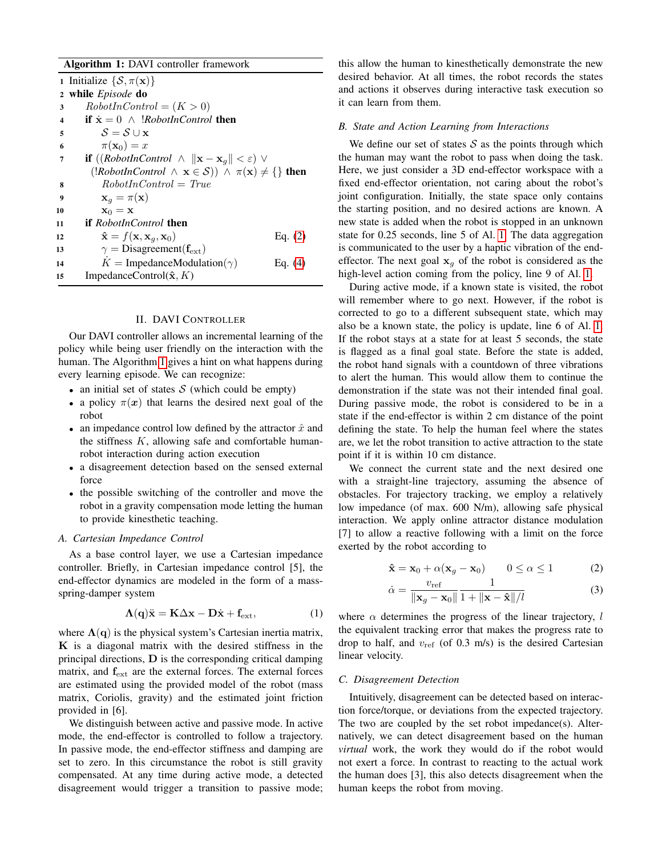# Algorithm 1: DAVI controller framework

|                         | 1 Initialize $\{S, \pi(\mathbf{x})\}$                                                                                |
|-------------------------|----------------------------------------------------------------------------------------------------------------------|
|                         | 2 while <i>Episode</i> do                                                                                            |
| 3                       | $RobothControl = (K > 0)$                                                                                            |
| $\overline{\mathbf{4}}$ | if $\dot{\mathbf{x}} = 0 \land \text{!} RobothControl$ then                                                          |
| 5                       | $S = S \cup x$                                                                                                       |
| 6                       | $\pi(\mathbf{x}_0) = x$                                                                                              |
| 7                       | <b>if</b> $((RobothControl \wedge   \mathbf{x} - \mathbf{x}_q   < \varepsilon) \vee$                                 |
|                         | $\langle !\textit{RobothControl} \wedge \mathbf{x} \in \mathcal{S} \rangle$ $\wedge \pi(\mathbf{x}) \neq \{\}\$ then |
| 8                       | $RobothControl = True$                                                                                               |
| 9                       | $\mathbf{x}_q = \pi(\mathbf{x})$                                                                                     |
| 10                      | $\mathbf{x}_0 = \mathbf{x}$                                                                                          |
| 11                      | <b>if</b> RobotInControl <b>then</b>                                                                                 |
| 12                      | $\hat{\mathbf{x}} = f(\mathbf{x}, \mathbf{x}_a, \mathbf{x}_0)$<br>Eq. $(2)$                                          |
| 13                      | $\gamma = \text{Disagreement}(\mathbf{f}_{\text{ext}})$                                                              |
| 14                      | $K = \text{ImpedanceModulation}(\gamma)$<br>Eq. $(4)$                                                                |
| 15                      | ImpedanceControl $(\hat{\mathbf{x}}, K)$                                                                             |
|                         |                                                                                                                      |

# II. DAVI CONTROLLER

<span id="page-1-0"></span>Our DAVI controller allows an incremental learning of the policy while being user friendly on the interaction with the human. The Algorithm [1](#page-1-0) gives a hint on what happens during every learning episode. We can recognize:

- an initial set of states  $S$  (which could be empty)
- a policy  $\pi(x)$  that learns the desired next goal of the robot
- an impedance control low defined by the attractor  $\hat{x}$  and the stiffness  $K$ , allowing safe and comfortable humanrobot interaction during action execution
- a disagreement detection based on the sensed external force
- the possible switching of the controller and move the robot in a gravity compensation mode letting the human to provide kinesthetic teaching.

# *A. Cartesian Impedance Control*

As a base control layer, we use a Cartesian impedance controller. Briefly, in Cartesian impedance control [5], the end-effector dynamics are modeled in the form of a massspring-damper system

<span id="page-1-2"></span>
$$
\Lambda(\mathbf{q})\ddot{\mathbf{x}} = \mathbf{K}\Delta\mathbf{x} - \mathbf{D}\dot{\mathbf{x}} + \mathbf{f}_{\text{ext}},\tag{1}
$$

where  $\Lambda(q)$  is the physical system's Cartesian inertia matrix,  $K$  is a diagonal matrix with the desired stiffness in the principal directions, D is the corresponding critical damping matrix, and  $f_{ext}$  are the external forces. The external forces are estimated using the provided model of the robot (mass matrix, Coriolis, gravity) and the estimated joint friction provided in [6].

We distinguish between active and passive mode. In active mode, the end-effector is controlled to follow a trajectory. In passive mode, the end-effector stiffness and damping are set to zero. In this circumstance the robot is still gravity compensated. At any time during active mode, a detected disagreement would trigger a transition to passive mode;

this allow the human to kinesthetically demonstrate the new desired behavior. At all times, the robot records the states and actions it observes during interactive task execution so it can learn from them.

# *B. State and Action Learning from Interactions*

We define our set of states  $S$  as the points through which the human may want the robot to pass when doing the task. Here, we just consider a 3D end-effector workspace with a fixed end-effector orientation, not caring about the robot's joint configuration. Initially, the state space only contains the starting position, and no desired actions are known. A new state is added when the robot is stopped in an unknown state for 0.25 seconds, line 5 of Al. [1.](#page-1-0) The data aggregation is communicated to the user by a haptic vibration of the endeffector. The next goal  $x_g$  of the robot is considered as the high-level action coming from the policy, line 9 of Al. [1.](#page-1-0)

During active mode, if a known state is visited, the robot will remember where to go next. However, if the robot is corrected to go to a different subsequent state, which may also be a known state, the policy is update, line 6 of Al. [1.](#page-1-0) If the robot stays at a state for at least 5 seconds, the state is flagged as a final goal state. Before the state is added, the robot hand signals with a countdown of three vibrations to alert the human. This would allow them to continue the demonstration if the state was not their intended final goal. During passive mode, the robot is considered to be in a state if the end-effector is within 2 cm distance of the point defining the state. To help the human feel where the states are, we let the robot transition to active attraction to the state point if it is within 10 cm distance.

We connect the current state and the next desired one with a straight-line trajectory, assuming the absence of obstacles. For trajectory tracking, we employ a relatively low impedance (of max. 600 N/m), allowing safe physical interaction. We apply online attractor distance modulation [7] to allow a reactive following with a limit on the force exerted by the robot according to

<span id="page-1-1"></span>
$$
\hat{\mathbf{x}} = \mathbf{x}_0 + \alpha (\mathbf{x}_g - \mathbf{x}_0) \qquad 0 \le \alpha \le 1 \tag{2}
$$

$$
\dot{\alpha} = \frac{v_{\text{ref}}}{\|\mathbf{x}_g - \mathbf{x}_0\|} \frac{1}{1 + \|\mathbf{x} - \hat{\mathbf{x}}\| / l}
$$
(3)

where  $\alpha$  determines the progress of the linear trajectory, l the equivalent tracking error that makes the progress rate to drop to half, and  $v_{ref}$  (of 0.3 m/s) is the desired Cartesian linear velocity.

#### *C. Disagreement Detection*

Intuitively, disagreement can be detected based on interaction force/torque, or deviations from the expected trajectory. The two are coupled by the set robot impedance(s). Alternatively, we can detect disagreement based on the human *virtual* work, the work they would do if the robot would not exert a force. In contrast to reacting to the actual work the human does [3], this also detects disagreement when the human keeps the robot from moving.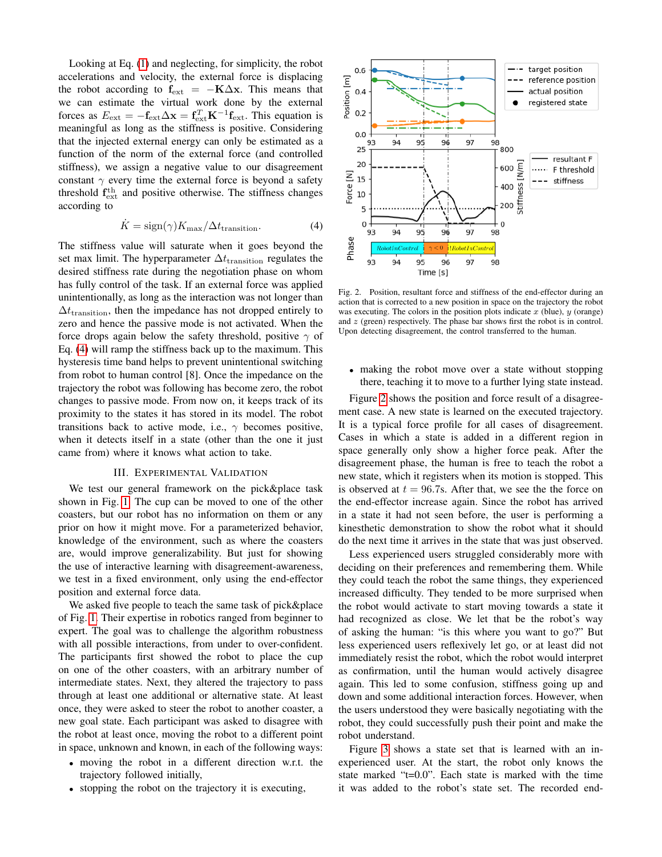Looking at Eq. [\(1\)](#page-1-2) and neglecting, for simplicity, the robot accelerations and velocity, the external force is displacing the robot according to  $f_{ext} = -K\Delta x$ . This means that we can estimate the virtual work done by the external forces as  $E_{ext} = -f_{ext} \Delta x = f_{ext}^T K^{-1} f_{ext}$ . This equation is meaningful as long as the stiffness is positive. Considering that the injected external energy can only be estimated as a function of the norm of the external force (and controlled stiffness), we assign a negative value to our disagreement constant  $\gamma$  every time the external force is beyond a safety threshold  $f_{ext}^{th}$  and positive otherwise. The stiffness changes according to

<span id="page-2-0"></span>
$$
\dot{K} = \text{sign}(\gamma) K_{\text{max}} / \Delta t_{\text{transition}}.
$$
 (4)

The stiffness value will saturate when it goes beyond the set max limit. The hyperparameter  $\Delta t$ <sub>transition</sub> regulates the desired stiffness rate during the negotiation phase on whom has fully control of the task. If an external force was applied unintentionally, as long as the interaction was not longer than  $\Delta t$ <sub>transition</sub>, then the impedance has not dropped entirely to zero and hence the passive mode is not activated. When the force drops again below the safety threshold, positive  $\gamma$  of Eq. [\(4\)](#page-2-0) will ramp the stiffness back up to the maximum. This hysteresis time band helps to prevent unintentional switching from robot to human control [8]. Once the impedance on the trajectory the robot was following has become zero, the robot changes to passive mode. From now on, it keeps track of its proximity to the states it has stored in its model. The robot transitions back to active mode, i.e.,  $\gamma$  becomes positive, when it detects itself in a state (other than the one it just came from) where it knows what action to take.

# III. EXPERIMENTAL VALIDATION

We test our general framework on the pick&place task shown in Fig. [1.](#page-0-0) The cup can be moved to one of the other coasters, but our robot has no information on them or any prior on how it might move. For a parameterized behavior, knowledge of the environment, such as where the coasters are, would improve generalizability. But just for showing the use of interactive learning with disagreement-awareness, we test in a fixed environment, only using the end-effector position and external force data.

We asked five people to teach the same task of pick&place of Fig. [1.](#page-0-0) Their expertise in robotics ranged from beginner to expert. The goal was to challenge the algorithm robustness with all possible interactions, from under to over-confident. The participants first showed the robot to place the cup on one of the other coasters, with an arbitrary number of intermediate states. Next, they altered the trajectory to pass through at least one additional or alternative state. At least once, they were asked to steer the robot to another coaster, a new goal state. Each participant was asked to disagree with the robot at least once, moving the robot to a different point in space, unknown and known, in each of the following ways:

- moving the robot in a different direction w.r.t. the trajectory followed initially,
- stopping the robot on the trajectory it is executing,



<span id="page-2-1"></span>Fig. 2. Position, resultant force and stiffness of the end-effector during an action that is corrected to a new position in space on the trajectory the robot was executing. The colors in the position plots indicate  $x$  (blue),  $y$  (orange) and z (green) respectively. The phase bar shows first the robot is in control. Upon detecting disagreement, the control transferred to the human.

• making the robot move over a state without stopping there, teaching it to move to a further lying state instead.

Figure [2](#page-2-1) shows the position and force result of a disagreement case. A new state is learned on the executed trajectory. It is a typical force profile for all cases of disagreement. Cases in which a state is added in a different region in space generally only show a higher force peak. After the disagreement phase, the human is free to teach the robot a new state, which it registers when its motion is stopped. This is observed at  $t = 96.7$ s. After that, we see the the force on the end-effector increase again. Since the robot has arrived in a state it had not seen before, the user is performing a kinesthetic demonstration to show the robot what it should do the next time it arrives in the state that was just observed.

Less experienced users struggled considerably more with deciding on their preferences and remembering them. While they could teach the robot the same things, they experienced increased difficulty. They tended to be more surprised when the robot would activate to start moving towards a state it had recognized as close. We let that be the robot's way of asking the human: "is this where you want to go?" But less experienced users reflexively let go, or at least did not immediately resist the robot, which the robot would interpret as confirmation, until the human would actively disagree again. This led to some confusion, stiffness going up and down and some additional interaction forces. However, when the users understood they were basically negotiating with the robot, they could successfully push their point and make the robot understand.

Figure [3](#page-3-0) shows a state set that is learned with an inexperienced user. At the start, the robot only knows the state marked "t=0.0". Each state is marked with the time it was added to the robot's state set. The recorded end-